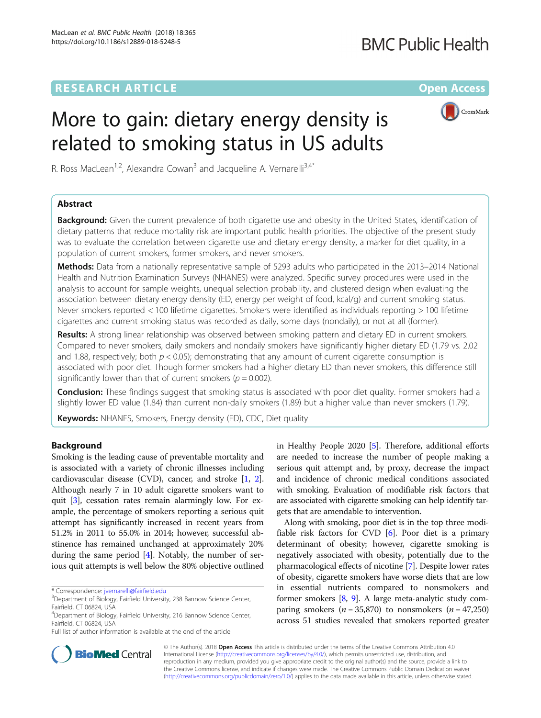# **RESEARCH ARTICLE Example 2014 12:30 The Contract of Contract ACCESS**



# More to gain: dietary energy density is related to smoking status in US adults

R. Ross MacLean<sup>1,2</sup>, Alexandra Cowan<sup>3</sup> and Jacqueline A. Vernarelli<sup>3,4\*</sup>

# Abstract

**Background:** Given the current prevalence of both cigarette use and obesity in the United States, identification of dietary patterns that reduce mortality risk are important public health priorities. The objective of the present study was to evaluate the correlation between cigarette use and dietary energy density, a marker for diet quality, in a population of current smokers, former smokers, and never smokers.

Methods: Data from a nationally representative sample of 5293 adults who participated in the 2013–2014 National Health and Nutrition Examination Surveys (NHANES) were analyzed. Specific survey procedures were used in the analysis to account for sample weights, unequal selection probability, and clustered design when evaluating the association between dietary energy density (ED, energy per weight of food, kcal/g) and current smoking status. Never smokers reported < 100 lifetime cigarettes. Smokers were identified as individuals reporting > 100 lifetime cigarettes and current smoking status was recorded as daily, some days (nondaily), or not at all (former).

Results: A strong linear relationship was observed between smoking pattern and dietary ED in current smokers. Compared to never smokers, daily smokers and nondaily smokers have significantly higher dietary ED (1.79 vs. 2.02 and 1.88, respectively; both  $p < 0.05$ ); demonstrating that any amount of current cigarette consumption is associated with poor diet. Though former smokers had a higher dietary ED than never smokers, this difference still significantly lower than that of current smokers ( $p = 0.002$ ).

Conclusion: These findings suggest that smoking status is associated with poor diet quality. Former smokers had a slightly lower ED value (1.84) than current non-daily smokers (1.89) but a higher value than never smokers (1.79).

Keywords: NHANES, Smokers, Energy density (ED), CDC, Diet quality

# Background

Smoking is the leading cause of preventable mortality and is associated with a variety of chronic illnesses including cardiovascular disease (CVD), cancer, and stroke [[1,](#page-5-0) [2](#page-5-0)]. Although nearly 7 in 10 adult cigarette smokers want to quit [\[3](#page-5-0)], cessation rates remain alarmingly low. For example, the percentage of smokers reporting a serious quit attempt has significantly increased in recent years from 51.2% in 2011 to 55.0% in 2014; however, successful abstinence has remained unchanged at approximately 20% during the same period [\[4](#page-5-0)]. Notably, the number of serious quit attempts is well below the 80% objective outlined

\* Correspondence: [jvernarelli@fairfield.edu](mailto:jvernarelli@fairfield.edu) <sup>3</sup>

Full list of author information is available at the end of the article

in Healthy People 2020 [\[5](#page-5-0)]. Therefore, additional efforts are needed to increase the number of people making a serious quit attempt and, by proxy, decrease the impact and incidence of chronic medical conditions associated with smoking. Evaluation of modifiable risk factors that are associated with cigarette smoking can help identify targets that are amendable to intervention.

Along with smoking, poor diet is in the top three modifiable risk factors for CVD [[6](#page-5-0)]. Poor diet is a primary determinant of obesity; however, cigarette smoking is negatively associated with obesity, potentially due to the pharmacological effects of nicotine [[7](#page-5-0)]. Despite lower rates of obesity, cigarette smokers have worse diets that are low in essential nutrients compared to nonsmokers and former smokers [\[8,](#page-5-0) [9\]](#page-5-0). A large meta-analytic study comparing smokers ( $n = 35,870$ ) to nonsmokers ( $n = 47,250$ ) across 51 studies revealed that smokers reported greater



© The Author(s). 2018 Open Access This article is distributed under the terms of the Creative Commons Attribution 4.0 International License [\(http://creativecommons.org/licenses/by/4.0/](http://creativecommons.org/licenses/by/4.0/)), which permits unrestricted use, distribution, and reproduction in any medium, provided you give appropriate credit to the original author(s) and the source, provide a link to the Creative Commons license, and indicate if changes were made. The Creative Commons Public Domain Dedication waiver [\(http://creativecommons.org/publicdomain/zero/1.0/](http://creativecommons.org/publicdomain/zero/1.0/)) applies to the data made available in this article, unless otherwise stated.

<sup>&</sup>lt;sup>3</sup>Department of Biology, Fairfield University, 238 Bannow Science Center, Fairfield, CT 06824, USA

<sup>&</sup>lt;sup>4</sup>Department of Biology, Fairfield University, 216 Bannow Science Center, Fairfield, CT 06824, USA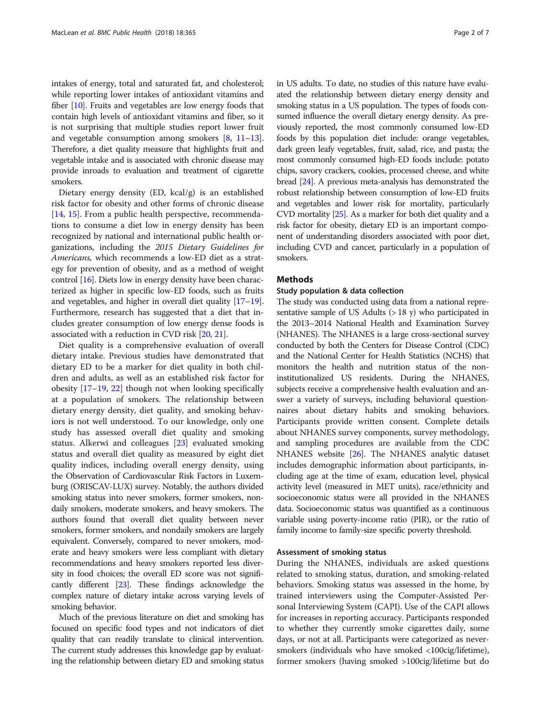intakes of energy, total and saturated fat, and cholesterol; while reporting lower intakes of antioxidant vitamins and fiber [\[10\]](#page-5-0). Fruits and vegetables are low energy foods that contain high levels of antioxidant vitamins and fiber, so it is not surprising that multiple studies report lower fruit and vegetable consumption among smokers [[8](#page-5-0), [11](#page-5-0)–[13](#page-5-0)]. Therefore, a diet quality measure that highlights fruit and vegetable intake and is associated with chronic disease may provide inroads to evaluation and treatment of cigarette smokers.

Dietary energy density (ED, kcal/g) is an established risk factor for obesity and other forms of chronic disease [[14,](#page-5-0) [15\]](#page-5-0). From a public health perspective, recommendations to consume a diet low in energy density has been recognized by national and international public health organizations, including the 2015 Dietary Guidelines for Americans, which recommends a low-ED diet as a strategy for prevention of obesity, and as a method of weight control [\[16\]](#page-5-0). Diets low in energy density have been characterized as higher in specific low-ED foods, such as fruits and vegetables, and higher in overall diet quality [\[17](#page-5-0)–[19](#page-5-0)]. Furthermore, research has suggested that a diet that includes greater consumption of low energy dense foods is associated with a reduction in CVD risk [\[20,](#page-5-0) [21\]](#page-5-0).

Diet quality is a comprehensive evaluation of overall dietary intake. Previous studies have demonstrated that dietary ED to be a marker for diet quality in both children and adults, as well as an established risk factor for obesity [[17](#page-5-0)–[19](#page-5-0), [22](#page-5-0)] though not when looking specifically at a population of smokers. The relationship between dietary energy density, diet quality, and smoking behaviors is not well understood. To our knowledge, only one study has assessed overall diet quality and smoking status. Alkerwi and colleagues [\[23](#page-5-0)] evaluated smoking status and overall diet quality as measured by eight diet quality indices, including overall energy density, using the Observation of Cardiovascular Risk Factors in Luxemburg (ORISCAV-LUX) survey. Notably, the authors divided smoking status into never smokers, former smokers, nondaily smokers, moderate smokers, and heavy smokers. The authors found that overall diet quality between never smokers, former smokers, and nondaily smokers are largely equivalent. Conversely, compared to never smokers, moderate and heavy smokers were less compliant with dietary recommendations and heavy smokers reported less diversity in food choices; the overall ED score was not significantly different [\[23\]](#page-5-0). These findings acknowledge the complex nature of dietary intake across varying levels of smoking behavior.

Much of the previous literature on diet and smoking has focused on specific food types and not indicators of diet quality that can readily translate to clinical intervention. The current study addresses this knowledge gap by evaluating the relationship between dietary ED and smoking status in US adults. To date, no studies of this nature have evaluated the relationship between dietary energy density and smoking status in a US population. The types of foods consumed influence the overall dietary energy density. As previously reported, the most commonly consumed low-ED foods by this population diet include: orange vegetables, dark green leafy vegetables, fruit, salad, rice, and pasta; the most commonly consumed high-ED foods include: potato chips, savory crackers, cookies, processed cheese, and white bread [[24](#page-5-0)]. A previous meta-analysis has demonstrated the robust relationship between consumption of low-ED fruits and vegetables and lower risk for mortality, particularly CVD mortality [[25](#page-5-0)]. As a marker for both diet quality and a risk factor for obesity, dietary ED is an important component of understanding disorders associated with poor diet, including CVD and cancer, particularly in a population of smokers.

## Methods

### Study population & data collection

The study was conducted using data from a national representative sample of US Adults  $(> 18 \text{ y})$  who participated in the 2013–2014 National Health and Examination Survey (NHANES). The NHANES is a large cross-sectional survey conducted by both the Centers for Disease Control (CDC) and the National Center for Health Statistics (NCHS) that monitors the health and nutrition status of the noninstitutionalized US residents. During the NHANES, subjects receive a comprehensive health evaluation and answer a variety of surveys, including behavioral questionnaires about dietary habits and smoking behaviors. Participants provide written consent. Complete details about NHANES survey components, survey methodology, and sampling procedures are available from the CDC NHANES website [\[26\]](#page-5-0). The NHANES analytic dataset includes demographic information about participants, including age at the time of exam, education level, physical activity level (measured in MET units), race/ethnicity and socioeconomic status were all provided in the NHANES data. Socioeconomic status was quantified as a continuous variable using poverty-income ratio (PIR), or the ratio of family income to family-size specific poverty threshold.

## Assessment of smoking status

During the NHANES, individuals are asked questions related to smoking status, duration, and smoking-related behaviors. Smoking status was assessed in the home, by trained interviewers using the Computer-Assisted Personal Interviewing System (CAPI). Use of the CAPI allows for increases in reporting accuracy. Participants responded to whether they currently smoke cigarettes daily, some days, or not at all. Participants were categorized as neversmokers (individuals who have smoked <100cig/lifetime), former smokers (having smoked >100cig/lifetime but do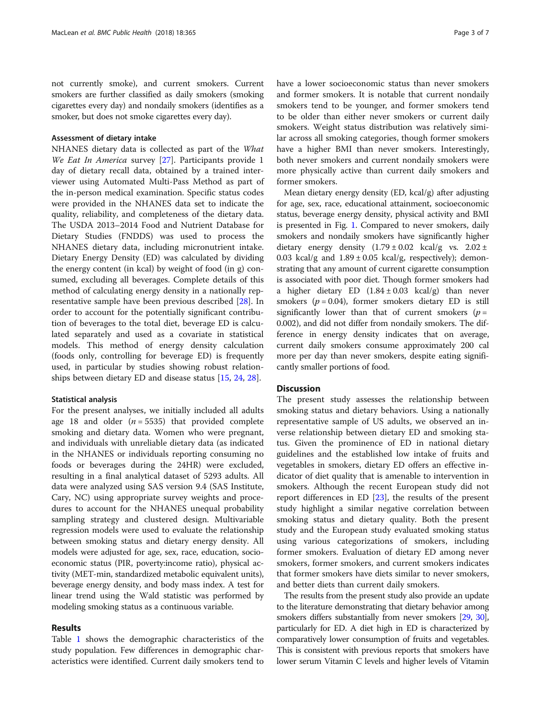not currently smoke), and current smokers. Current smokers are further classified as daily smokers (smoking cigarettes every day) and nondaily smokers (identifies as a smoker, but does not smoke cigarettes every day).

# Assessment of dietary intake

NHANES dietary data is collected as part of the What We Eat In America survey [\[27](#page-6-0)]. Participants provide 1 day of dietary recall data, obtained by a trained interviewer using Automated Multi-Pass Method as part of the in-person medical examination. Specific status codes were provided in the NHANES data set to indicate the quality, reliability, and completeness of the dietary data. The USDA 2013–2014 Food and Nutrient Database for Dietary Studies (FNDDS) was used to process the NHANES dietary data, including micronutrient intake. Dietary Energy Density (ED) was calculated by dividing the energy content (in kcal) by weight of food (in g) consumed, excluding all beverages. Complete details of this method of calculating energy density in a nationally representative sample have been previous described [\[28](#page-6-0)]. In order to account for the potentially significant contribution of beverages to the total diet, beverage ED is calculated separately and used as a covariate in statistical models. This method of energy density calculation (foods only, controlling for beverage ED) is frequently used, in particular by studies showing robust relationships between dietary ED and disease status [[15](#page-5-0), [24](#page-5-0), [28](#page-6-0)].

## Statistical analysis

For the present analyses, we initially included all adults age 18 and older  $(n = 5535)$  that provided complete smoking and dietary data. Women who were pregnant, and individuals with unreliable dietary data (as indicated in the NHANES or individuals reporting consuming no foods or beverages during the 24HR) were excluded, resulting in a final analytical dataset of 5293 adults. All data were analyzed using SAS version 9.4 (SAS Institute, Cary, NC) using appropriate survey weights and procedures to account for the NHANES unequal probability sampling strategy and clustered design. Multivariable regression models were used to evaluate the relationship between smoking status and dietary energy density. All models were adjusted for age, sex, race, education, socioeconomic status (PIR, poverty:income ratio), physical activity (MET-min, standardized metabolic equivalent units), beverage energy density, and body mass index. A test for linear trend using the Wald statistic was performed by modeling smoking status as a continuous variable.

# Results

Table [1](#page-3-0) shows the demographic characteristics of the study population. Few differences in demographic characteristics were identified. Current daily smokers tend to

have a lower socioeconomic status than never smokers and former smokers. It is notable that current nondaily smokers tend to be younger, and former smokers tend to be older than either never smokers or current daily smokers. Weight status distribution was relatively similar across all smoking categories, though former smokers have a higher BMI than never smokers. Interestingly, both never smokers and current nondaily smokers were more physically active than current daily smokers and former smokers.

Mean dietary energy density (ED, kcal/g) after adjusting for age, sex, race, educational attainment, socioeconomic status, beverage energy density, physical activity and BMI is presented in Fig. [1](#page-4-0). Compared to never smokers, daily smokers and nondaily smokers have significantly higher dietary energy density  $(1.79 \pm 0.02 \text{ kcal/g vs. } 2.02 \pm 1)$ 0.03 kcal/g and  $1.89 \pm 0.05$  kcal/g, respectively); demonstrating that any amount of current cigarette consumption is associated with poor diet. Though former smokers had a higher dietary ED  $(1.84 \pm 0.03 \text{ kcal/g})$  than never smokers ( $p = 0.04$ ), former smokers dietary ED is still significantly lower than that of current smokers ( $p =$ 0.002), and did not differ from nondaily smokers. The difference in energy density indicates that on average, current daily smokers consume approximately 200 cal more per day than never smokers, despite eating significantly smaller portions of food.

# Discussion

The present study assesses the relationship between smoking status and dietary behaviors. Using a nationally representative sample of US adults, we observed an inverse relationship between dietary ED and smoking status. Given the prominence of ED in national dietary guidelines and the established low intake of fruits and vegetables in smokers, dietary ED offers an effective indicator of diet quality that is amenable to intervention in smokers. Although the recent European study did not report differences in ED [\[23](#page-5-0)], the results of the present study highlight a similar negative correlation between smoking status and dietary quality. Both the present study and the European study evaluated smoking status using various categorizations of smokers, including former smokers. Evaluation of dietary ED among never smokers, former smokers, and current smokers indicates that former smokers have diets similar to never smokers, and better diets than current daily smokers.

The results from the present study also provide an update to the literature demonstrating that dietary behavior among smokers differs substantially from never smokers [[29](#page-6-0), [30](#page-6-0)], particularly for ED. A diet high in ED is characterized by comparatively lower consumption of fruits and vegetables. This is consistent with previous reports that smokers have lower serum Vitamin C levels and higher levels of Vitamin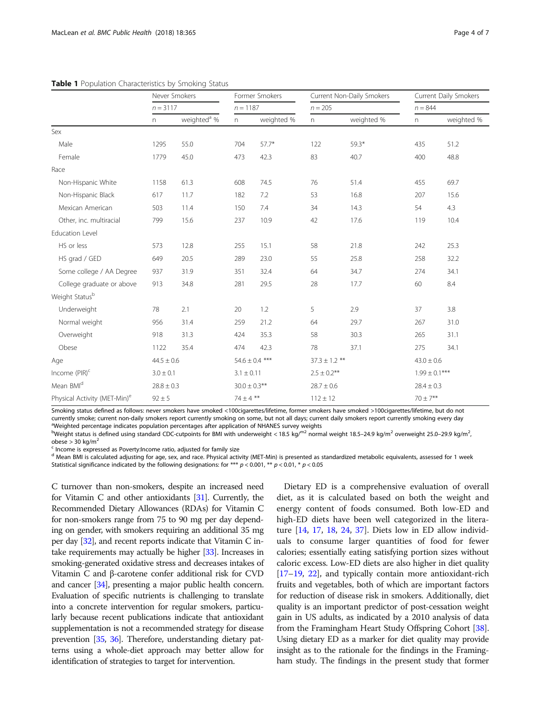| <b>Table I</b> Population Characteristics by Sinoking Status | Never Smokers<br>$n = 3117$ |                         | Former Smokers<br>$n = 1187$ |            | Current Non-Daily Smokers<br>$n = 205$ |            | Current Daily Smokers<br>$n = 844$ |            |
|--------------------------------------------------------------|-----------------------------|-------------------------|------------------------------|------------|----------------------------------------|------------|------------------------------------|------------|
|                                                              |                             |                         |                              |            |                                        |            |                                    |            |
|                                                              | $\mathsf{n}$                | weighted <sup>a</sup> % | n                            | weighted % | n.                                     | weighted % | $\mathsf{n}$                       | weighted % |
| Sex                                                          |                             |                         |                              |            |                                        |            |                                    |            |
| Male                                                         | 1295                        | 55.0                    | 704                          | $57.7*$    | 122                                    | 59.3*      | 435                                | 51.2       |
| Female                                                       | 1779                        | 45.0                    | 473                          | 42.3       | 83                                     | 40.7       | 400                                | 48.8       |
| Race                                                         |                             |                         |                              |            |                                        |            |                                    |            |
| Non-Hispanic White                                           | 1158                        | 61.3                    | 608                          | 74.5       | 76                                     | 51.4       | 455                                | 69.7       |
| Non-Hispanic Black                                           | 617                         | 11.7                    | 182                          | 7.2        | 53                                     | 16.8       | 207                                | 15.6       |
| Mexican American                                             | 503                         | 11.4                    | 150                          | 7.4        | 34                                     | 14.3       | 54                                 | 4.3        |
| Other, inc. multiracial                                      | 799                         | 15.6                    | 237                          | 10.9       | 42                                     | 17.6       | 119                                | 10.4       |
| <b>Education Level</b>                                       |                             |                         |                              |            |                                        |            |                                    |            |
| HS or less                                                   | 573                         | 12.8                    | 255                          | 15.1       | 58                                     | 21.8       | 242                                | 25.3       |
| HS grad / GED                                                | 649                         | 20.5                    | 289                          | 23.0       | 55                                     | 25.8       | 258                                | 32.2       |
| Some college / AA Degree                                     | 937                         | 31.9                    | 351                          | 32.4       | 64                                     | 34.7       | 274                                | 34.1       |
| College graduate or above                                    | 913                         | 34.8                    | 281                          | 29.5       | 28                                     | 17.7       | 60                                 | 8.4        |
| Weight Statusb                                               |                             |                         |                              |            |                                        |            |                                    |            |
| Underweight                                                  | 78                          | 2.1                     | 20                           | 1.2        | 5                                      | 2.9        | 37                                 | 3.8        |
| Normal weight                                                | 956                         | 31.4                    | 259                          | 21.2       | 64                                     | 29.7       | 267                                | 31.0       |
| Overweight                                                   | 918                         | 31.3                    | 424                          | 35.3       | 58                                     | 30.3       | 265                                | 31.1       |
| Obese                                                        | 1122                        | 35.4                    | 474                          | 42.3       | 78                                     | 37.1       | 275                                | 34.1       |
| Age                                                          | $44.5 \pm 0.6$              |                         | $54.6 \pm 0.4$ ***           |            | $37.3 \pm 1.2$ **                      |            | $43.0 \pm 0.6$                     |            |
| Income (PIR) <sup>c</sup>                                    | $3.0 \pm 0.1$               |                         | $3.1 \pm 0.11$               |            | $2.5 \pm 0.2$ **                       |            | $1.99 \pm 0.1***$                  |            |
| Mean BMI <sup>d</sup>                                        | $28.8 \pm 0.3$              |                         | $30.0 \pm 0.3$ **            |            | $28.7 \pm 0.6$                         |            | $28.4 \pm 0.3$                     |            |
| Physical Activity (MET-Min) <sup>e</sup>                     | $92 \pm 5$                  |                         | $74 \pm 4$ **                |            | $112 \pm 12$                           |            | $70 \pm 7***$                      |            |

# <span id="page-3-0"></span>Table 1 Population Characteristics by Smoking Status

Smoking status defined as follows: never smokers have smoked <100cigarettes/lifetime, former smokers have smoked >100cigarettes/lifetime, but do not currently smoke; current non-daily smokers report currently smoking on some, but not all days; current daily smokers report currently smoking every day <sup>a</sup>Weighted percentage indicates population percentages after application of NHANES survey weights

 $^{\rm b}$ Weight status is defined using standard CDC-cutpoints for BMI with underweight < 18.5 kg/ $^{\rm m2}$  normal weight 18.5–24.9 kg/m $^2$  overweight 25.0–29.9 kg/m $^2$ , obese > 30 kg/m<sup>2</sup>

<sup>c</sup> Income is expressed as Poverty: Income ratio, adjusted for family size

d Mean BMI is calculated adjusting for age, sex, and race. Physical activity (MET-Min) is presented as standardized metabolic equivalents, assessed for 1 week Statistical significance indicated by the following designations: for \*\*\*  $p < 0.001$ , \*\*  $p < 0.01$ , \*  $p < 0.05$ 

C turnover than non-smokers, despite an increased need for Vitamin C and other antioxidants [\[31\]](#page-6-0). Currently, the Recommended Dietary Allowances (RDAs) for Vitamin C for non-smokers range from 75 to 90 mg per day depending on gender, with smokers requiring an additional 35 mg per day [[32\]](#page-6-0), and recent reports indicate that Vitamin C intake requirements may actually be higher [\[33\]](#page-6-0). Increases in smoking-generated oxidative stress and decreases intakes of Vitamin C and β-carotene confer additional risk for CVD and cancer [\[34\]](#page-6-0), presenting a major public health concern. Evaluation of specific nutrients is challenging to translate into a concrete intervention for regular smokers, particularly because recent publications indicate that antioxidant supplementation is not a recommended strategy for disease prevention [[35](#page-6-0), [36\]](#page-6-0). Therefore, understanding dietary patterns using a whole-diet approach may better allow for identification of strategies to target for intervention.

Dietary ED is a comprehensive evaluation of overall diet, as it is calculated based on both the weight and energy content of foods consumed. Both low-ED and high-ED diets have been well categorized in the literature [\[14](#page-5-0), [17,](#page-5-0) [18,](#page-5-0) [24](#page-5-0), [37](#page-6-0)]. Diets low in ED allow individuals to consume larger quantities of food for fewer calories; essentially eating satisfying portion sizes without caloric excess. Low-ED diets are also higher in diet quality [[17](#page-5-0)–[19,](#page-5-0) [22\]](#page-5-0), and typically contain more antioxidant-rich fruits and vegetables, both of which are important factors for reduction of disease risk in smokers. Additionally, diet quality is an important predictor of post-cessation weight gain in US adults, as indicated by a 2010 analysis of data from the Framingham Heart Study Offspring Cohort [[38](#page-6-0)]. Using dietary ED as a marker for diet quality may provide insight as to the rationale for the findings in the Framingham study. The findings in the present study that former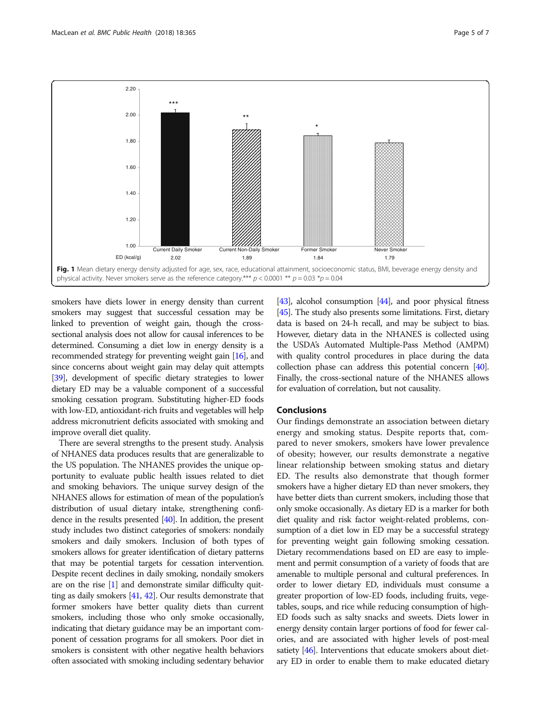<span id="page-4-0"></span>

smokers have diets lower in energy density than current smokers may suggest that successful cessation may be linked to prevention of weight gain, though the crosssectional analysis does not allow for causal inferences to be determined. Consuming a diet low in energy density is a recommended strategy for preventing weight gain [[16](#page-5-0)], and since concerns about weight gain may delay quit attempts [[39](#page-6-0)], development of specific dietary strategies to lower dietary ED may be a valuable component of a successful smoking cessation program. Substituting higher-ED foods with low-ED, antioxidant-rich fruits and vegetables will help address micronutrient deficits associated with smoking and improve overall diet quality.

There are several strengths to the present study. Analysis of NHANES data produces results that are generalizable to the US population. The NHANES provides the unique opportunity to evaluate public health issues related to diet and smoking behaviors. The unique survey design of the NHANES allows for estimation of mean of the population's distribution of usual dietary intake, strengthening confidence in the results presented [[40](#page-6-0)]. In addition, the present study includes two distinct categories of smokers: nondaily smokers and daily smokers. Inclusion of both types of smokers allows for greater identification of dietary patterns that may be potential targets for cessation intervention. Despite recent declines in daily smoking, nondaily smokers are on the rise [\[1\]](#page-5-0) and demonstrate similar difficulty quitting as daily smokers [[41](#page-6-0), [42](#page-6-0)]. Our results demonstrate that former smokers have better quality diets than current smokers, including those who only smoke occasionally, indicating that dietary guidance may be an important component of cessation programs for all smokers. Poor diet in smokers is consistent with other negative health behaviors often associated with smoking including sedentary behavior

[[43](#page-6-0)], alcohol consumption [\[44](#page-6-0)], and poor physical fitness [[45](#page-6-0)]. The study also presents some limitations. First, dietary data is based on 24-h recall, and may be subject to bias. However, dietary data in the NHANES is collected using the USDA's Automated Multiple-Pass Method (AMPM) with quality control procedures in place during the data collection phase can address this potential concern [\[40](#page-6-0)]. Finally, the cross-sectional nature of the NHANES allows for evaluation of correlation, but not causality.

# Conclusions

Our findings demonstrate an association between dietary energy and smoking status. Despite reports that, compared to never smokers, smokers have lower prevalence of obesity; however, our results demonstrate a negative linear relationship between smoking status and dietary ED. The results also demonstrate that though former smokers have a higher dietary ED than never smokers, they have better diets than current smokers, including those that only smoke occasionally. As dietary ED is a marker for both diet quality and risk factor weight-related problems, consumption of a diet low in ED may be a successful strategy for preventing weight gain following smoking cessation. Dietary recommendations based on ED are easy to implement and permit consumption of a variety of foods that are amenable to multiple personal and cultural preferences. In order to lower dietary ED, individuals must consume a greater proportion of low-ED foods, including fruits, vegetables, soups, and rice while reducing consumption of high-ED foods such as salty snacks and sweets. Diets lower in energy density contain larger portions of food for fewer calories, and are associated with higher levels of post-meal satiety [\[46\]](#page-6-0). Interventions that educate smokers about dietary ED in order to enable them to make educated dietary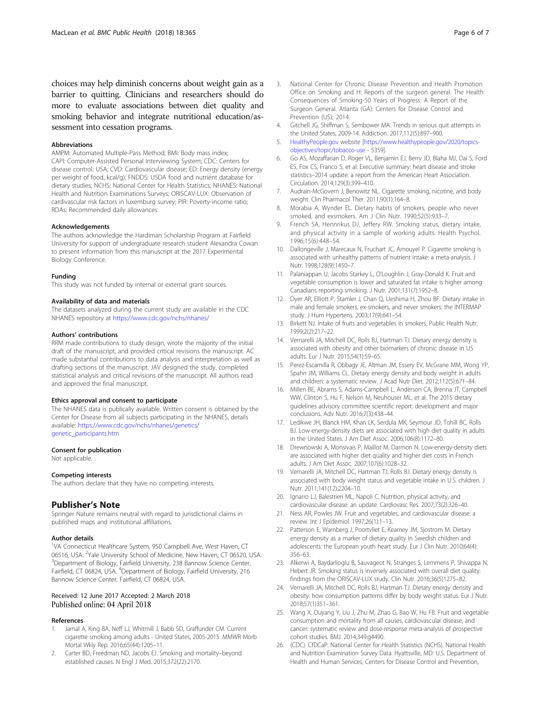<span id="page-5-0"></span>choices may help diminish concerns about weight gain as a barrier to quitting. Clinicians and researchers should do more to evaluate associations between diet quality and smoking behavior and integrate nutritional education/assessment into cessation programs.

#### Abbreviations

AMPM: Automated Multiple-Pass Method; BMI: Body mass index; CAPI: Computer-Assisted Personal Interviewing System; CDC: Centers for disease control, USA; CVD: Cardiovascular disease; ED: Energy density (energy per weight of food, kcal/g); FNDDS: USDA food and nutrient database for dietary studies; NCHS: National Center for Health Statistics; NHANES: National Health and Nutrition Examinations Surveys; ORISCAV-LUX: Observation of cardivascular risk factors in luxemburg survey; PIR: Poverty-income ratio; RDAs: Recommended daily allowances

#### Acknowledgements

The authors acknowledge the Hardiman Scholarship Program at Fairfield University for support of undergraduate research student Alexandra Cowan to present information from this manuscript at the 2017 Experimental Biology Conference.

#### Funding

This study was not funded by internal or external grant sources.

#### Availability of data and materials

The datasets analyzed during the current study are available in the CDC NHANES repository at [https://www.cdc.gov/nchs/nhanes/](https://www.cdc.gov/nchs/nhanes)

#### Authors' contributions

RRM made contributions to study design, wrote the majority of the initial draft of the manuscript, and provided critical revisions the manuscript. AC made substantial contributions to data analysis and interpretation as well as drafting sections of the manuscript. JAV designed the study, completed statistical analysis and critical revisions of the manuscript. All authors read and approved the final manuscript.

#### Ethics approval and consent to participate

The NHANES data is publically available. Written consent is obtained by the Center for Disease from all subjects participating in the NHANES, details available: [https://www.cdc.gov/nchs/nhanes/genetics/](https://www.cdc.gov/nchs/nhanes/genetics/genetic_participants.htm) [genetic\\_participants.htm](https://www.cdc.gov/nchs/nhanes/genetics/genetic_participants.htm)

#### Consent for publication

Not applicable.

#### Competing interests

The authors declare that they have no competing interests.

# Publisher's Note

Springer Nature remains neutral with regard to jurisdictional claims in published maps and institutional affiliations.

## Author details

<sup>1</sup>VA Connecticut Healthcare System, 950 Campbell Ave, West Haven, CT 06516, USA. <sup>2</sup>Yale University School of Medicine, New Haven, CT 06520, USA.<br><sup>3</sup>Dopartment of Biology, Fairfield University, 238 Bannow Science Center. <sup>3</sup>Department of Biology, Fairfield University, 238 Bannow Science Center, Fairfield, CT 06824, USA. <sup>4</sup>Department of Biology, Fairfield University, 216 Bannow Science Center, Fairfield, CT 06824, USA.

# Received: 12 June 2017 Accepted: 2 March 2018 Published online: 04 April 2018

#### References

- Jamal A, King BA, Neff LJ, Whitmill J, Babb SD, Graffunder CM. Current cigarette smoking among adults - United States, 2005-2015. MMWR Morb Mortal Wkly Rep. 2016;65(44):1205–11.
- 2. Carter BD, Freedman ND, Jacobs EJ. Smoking and mortality–beyond established causes. N Engl J Med. 2015;372(22):2170.
- 3. National Center for Chronic Disease Prevention and Health Promotion Office on Smoking and H: Reports of the surgeon general. The Health Consequences of Smoking-50 Years of Progress: A Report of the Surgeon General. Atlanta (GA): Centers for Disease Control and Prevention (US); 2014.
- 4. Gitchell JG, Shiffman S, Sembower MA. Trends in serious quit attempts in the United States, 2009-14. Addiction. 2017;112(5):897–900.
- 5. [HealthyPeople.gov](http://healthypeople.gov) website [\[https://www.healthypeople.gov/2020/topics](https://www.healthypeople.gov/2020/topics-objectives/topic/tobacco-use)[objectives/topic/tobacco-use](https://www.healthypeople.gov/2020/topics-objectives/topic/tobacco-use) - 5359].
- 6. Go AS, Mozaffarian D, Roger VL, Benjamin EJ, Berry JD, Blaha MJ, Dai S, Ford ES, Fox CS, Franco S, et al. Executive summary: heart disease and stroke statistics–2014 update: a report from the American Heart Association. Circulation. 2014;129(3):399–410.
- 7. Audrain-McGovern J, Benowitz NL. Cigarette smoking, nicotine, and body weight. Clin Pharmacol Ther. 2011;90(1):164–8.
- 8. Morabia A, Wynder EL. Dietary habits of smokers, people who never smoked, and exsmokers. Am J Clin Nutr. 1990;52(5):933–7.
- 9. French SA, Hennrikus DJ, Jeffery RW. Smoking status, dietary intake, and physical activity in a sample of working adults. Health Psychol. 1996;15(6):448–54.
- 10. Dallongeville J, Marecaux N, Fruchart JC, Amouyel P. Cigarette smoking is associated with unhealthy patterns of nutrient intake: a meta-analysis. J Nutr. 1998;128(9):1450–7.
- 11. Palaniappan U, Jacobs Starkey L, O'Loughlin J, Gray-Donald K. Fruit and vegetable consumption is lower and saturated fat intake is higher among Canadians reporting smoking. J Nutr. 2001;131(7):1952–8.
- 12. Dyer AR, Elliott P, Stamler J, Chan Q, Ueshima H, Zhou BF. Dietary intake in male and female smokers, ex-smokers, and never smokers: the INTERMAP study. J Hum Hypertens. 2003;17(9):641–54.
- 13. Birkett NJ. Intake of fruits and vegetables in smokers. Public Health Nutr. 1999;2(2):217–22.
- 14. Vernarelli JA, Mitchell DC, Rolls BJ, Hartman TJ. Dietary energy density is associated with obesity and other biomarkers of chronic disease in US adults. Eur J Nutr. 2015;54(1):59–65.
- 15. Perez-Escamilla R, Obbagy JE, Altman JM, Essery EV, McGrane MM, Wong YP, Spahn JM, Williams CL. Dietary energy density and body weight in adults and children: a systematic review. J Acad Nutr Diet. 2012;112(5):671–84.
- 16. Millen BE, Abrams S, Adams-Campbell L, Anderson CA, Brenna JT, Campbell WW, Clinton S, Hu F, Nelson M, Neuhouser ML, et al. The 2015 dietary guidelines advisory committee scientific report: development and major conclusions. Adv Nutr. 2016;7(3):438–44.
- 17. Ledikwe JH, Blanck HM, Khan LK, Serdula MK, Seymour JD, Tohill BC, Rolls BJ. Low-energy-density diets are associated with high diet quality in adults in the United States. J Am Diet Assoc. 2006;106(8):1172–80.
- 18. Drewnowski A, Monsivais P, Maillot M, Darmon N. Low-energy-density diets are associated with higher diet quality and higher diet costs in French adults. J Am Diet Assoc. 2007;107(6):1028–32.
- 19. Vernarelli JA, Mitchell DC, Hartman TJ, Rolls BJ. Dietary energy density is associated with body weight status and vegetable intake in U.S. children. J Nutr. 2011;141(12):2204–10.
- 20. Ignarro LJ, Balestrieri ML, Napoli C. Nutrition, physical activity, and cardiovascular disease: an update. Cardiovasc Res. 2007;73(2):326–40.
- 21. Ness AR, Powles JW. Fruit and vegetables, and cardiovascular disease: a review. Int J Epidemiol. 1997;26(1):1–13.
- 22. Patterson E, Warnberg J, Poortvliet E, Kearney JM, Sjostrom M. Dietary energy density as a marker of dietary quality in Swedish children and adolescents: the European youth heart study. Eur J Clin Nutr. 2010;64(4): 356–63.
- 23. Alkerwi A, Baydarlioglu B, Sauvageot N, Stranges S, Lemmens P, Shivappa N, Hebert JR. Smoking status is inversely associated with overall diet quality: findings from the ORISCAV-LUX study. Clin Nutr. 2016;36(5)1275–82.
- 24. Vernarelli JA, Mitchell DC, Rolls BJ, Hartman TJ. Dietary energy density and obesity: how consumption patterns differ by body weight status. Eur J Nutr. 2018;57(1)351–361.
- 25. Wang X, Ouyang Y, Liu J, Zhu M, Zhao G, Bao W, Hu FB. Fruit and vegetable consumption and mortality from all causes, cardiovascular disease, and cancer: systematic review and dose-response meta-analysis of prospective cohort studies. BMJ. 2014;349:g4490.
- 26. (CDC). CfDCaP: National Center for Health Statistics (NCHS). National Health and Nutrition Examination Survey Data. Hyattsville, MD: U.S. Department of Health and Human Services, Centers for Disease Control and Prevention,